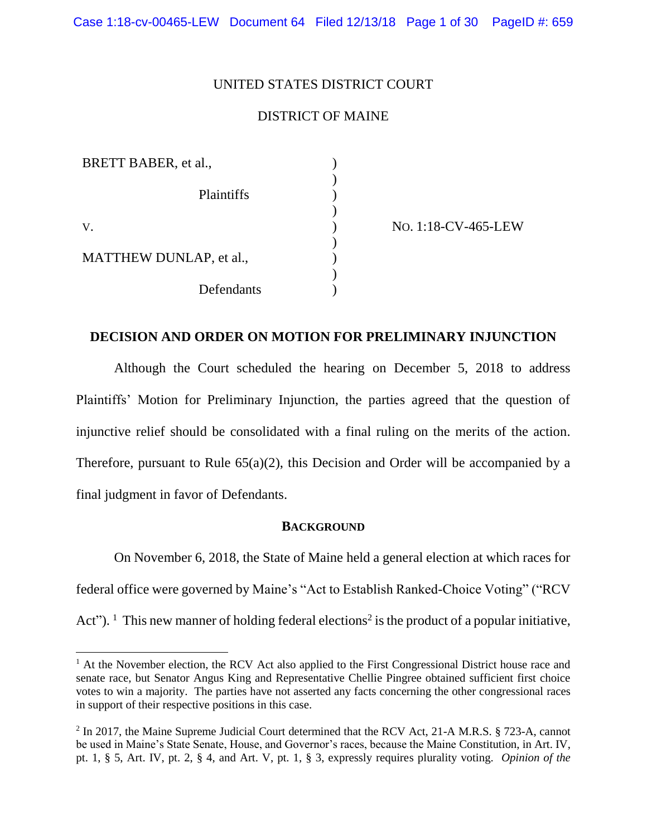### UNITED STATES DISTRICT COURT

### DISTRICT OF MAINE

| BRETT BABER, et al.,           |  |
|--------------------------------|--|
| Plaintiffs                     |  |
| V.                             |  |
| <b>MATTHEW DUNLAP, et al.,</b> |  |
| Defendants                     |  |

NO. 1:18-CV-465-LEW

### **DECISION AND ORDER ON MOTION FOR PRELIMINARY INJUNCTION**

Although the Court scheduled the hearing on December 5, 2018 to address Plaintiffs' Motion for Preliminary Injunction, the parties agreed that the question of injunctive relief should be consolidated with a final ruling on the merits of the action. Therefore, pursuant to Rule 65(a)(2), this Decision and Order will be accompanied by a final judgment in favor of Defendants.

#### **BACKGROUND**

On November 6, 2018, the State of Maine held a general election at which races for federal office were governed by Maine's "Act to Establish Ranked-Choice Voting" ("RCV Act"). <sup>1</sup> This new manner of holding federal elections<sup>2</sup> is the product of a popular initiative,

<sup>&</sup>lt;sup>1</sup> At the November election, the RCV Act also applied to the First Congressional District house race and senate race, but Senator Angus King and Representative Chellie Pingree obtained sufficient first choice votes to win a majority. The parties have not asserted any facts concerning the other congressional races in support of their respective positions in this case.

<sup>&</sup>lt;sup>2</sup> In 2017, the Maine Supreme Judicial Court determined that the RCV Act, 21-A M.R.S. § 723-A, cannot be used in Maine's State Senate, House, and Governor's races, because the Maine Constitution, in Art. IV, pt. 1, § 5, Art. IV, pt. 2, § 4, and Art. V, pt. 1, § 3, expressly requires plurality voting. *Opinion of the*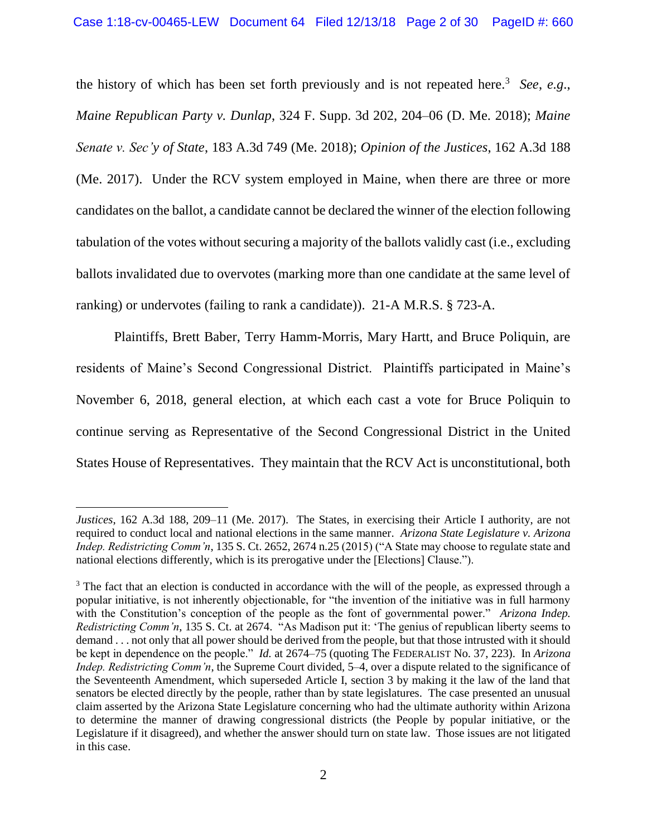the history of which has been set forth previously and is not repeated here.<sup>3</sup> See, e.g., *Maine Republican Party v. Dunlap*, 324 F. Supp. 3d 202, 204–06 (D. Me. 2018); *Maine Senate v. Sec'y of State*, 183 A.3d 749 (Me. 2018); *Opinion of the Justices*, 162 A.3d 188 (Me. 2017). Under the RCV system employed in Maine, when there are three or more candidates on the ballot, a candidate cannot be declared the winner of the election following tabulation of the votes without securing a majority of the ballots validly cast (i.e., excluding ballots invalidated due to overvotes (marking more than one candidate at the same level of ranking) or undervotes (failing to rank a candidate)). 21-A M.R.S. § 723-A.

Plaintiffs, Brett Baber, Terry Hamm-Morris, Mary Hartt, and Bruce Poliquin, are residents of Maine's Second Congressional District. Plaintiffs participated in Maine's November 6, 2018, general election, at which each cast a vote for Bruce Poliquin to continue serving as Representative of the Second Congressional District in the United States House of Representatives. They maintain that the RCV Act is unconstitutional, both

*Justices*, 162 A.3d 188, 209–11 (Me. 2017). The States, in exercising their Article I authority, are not required to conduct local and national elections in the same manner. *Arizona State Legislature v. Arizona Indep. Redistricting Comm'n*, 135 S. Ct. 2652, 2674 n.25 (2015) ("A State may choose to regulate state and national elections differently, which is its prerogative under the [Elections] Clause.").

<sup>&</sup>lt;sup>3</sup> The fact that an election is conducted in accordance with the will of the people, as expressed through a popular initiative, is not inherently objectionable, for "the invention of the initiative was in full harmony with the Constitution's conception of the people as the font of governmental power." *Arizona Indep. Redistricting Comm'n*, 135 S. Ct. at 2674. "As Madison put it: 'The genius of republican liberty seems to demand . . . not only that all power should be derived from the people, but that those intrusted with it should be kept in dependence on the people." *Id.* at 2674–75 (quoting The FEDERALIST No. 37, 223). In *Arizona Indep. Redistricting Comm'n*, the Supreme Court divided, 5–4, over a dispute related to the significance of the Seventeenth Amendment, which superseded Article I, section 3 by making it the law of the land that senators be elected directly by the people, rather than by state legislatures. The case presented an unusual claim asserted by the Arizona State Legislature concerning who had the ultimate authority within Arizona to determine the manner of drawing congressional districts (the People by popular initiative, or the Legislature if it disagreed), and whether the answer should turn on state law. Those issues are not litigated in this case.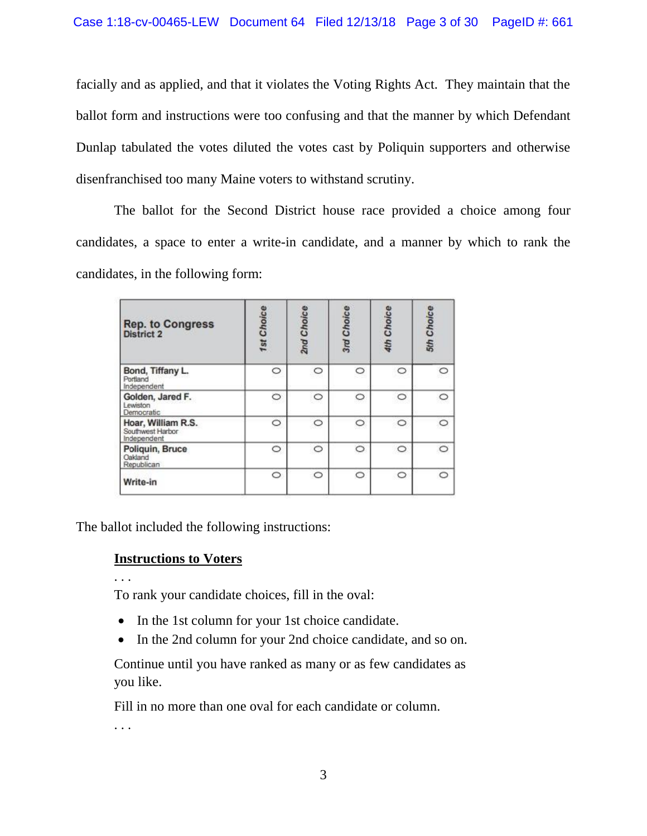facially and as applied, and that it violates the Voting Rights Act. They maintain that the ballot form and instructions were too confusing and that the manner by which Defendant Dunlap tabulated the votes diluted the votes cast by Poliquin supporters and otherwise disenfranchised too many Maine voters to withstand scrutiny.

The ballot for the Second District house race provided a choice among four candidates, a space to enter a write-in candidate, and a manner by which to rank the candidates, in the following form:

| <b>Rep. to Congress</b><br><b>District 2</b>          | 1st Choice | 2nd Choice | 3rd Choice | 4th Choice | 5th Choice |
|-------------------------------------------------------|------------|------------|------------|------------|------------|
| Bond, Tiffany L.<br>Portland<br>Independent           | O          | $\circ$    | $\circ$    | C          |            |
| Golden, Jared F.<br>Lewiston<br>Democratic            | $\circ$    | $\circ$    | $\circ$    | $\circ$    | Ò          |
| Hoar, William R.S.<br>Southwest Harbor<br>Independent | $\circ$    | $\circ$    | $\circ$    | $\circ$    | $\circ$    |
| Poliquin, Bruce<br>Oakland<br>Republican              | $\circ$    | $\circ$    | $\circ$    | $\circ$    | $\circ$    |
| Write-in                                              | $\circ$    | $\circ$    | $\circ$    | $\circ$    | Ô          |

The ballot included the following instructions:

# **Instructions to Voters**

. . .

To rank your candidate choices, fill in the oval:

- In the 1st column for your 1st choice candidate.
- In the 2nd column for your 2nd choice candidate, and so on.

Continue until you have ranked as many or as few candidates as you like.

Fill in no more than one oval for each candidate or column.

. . .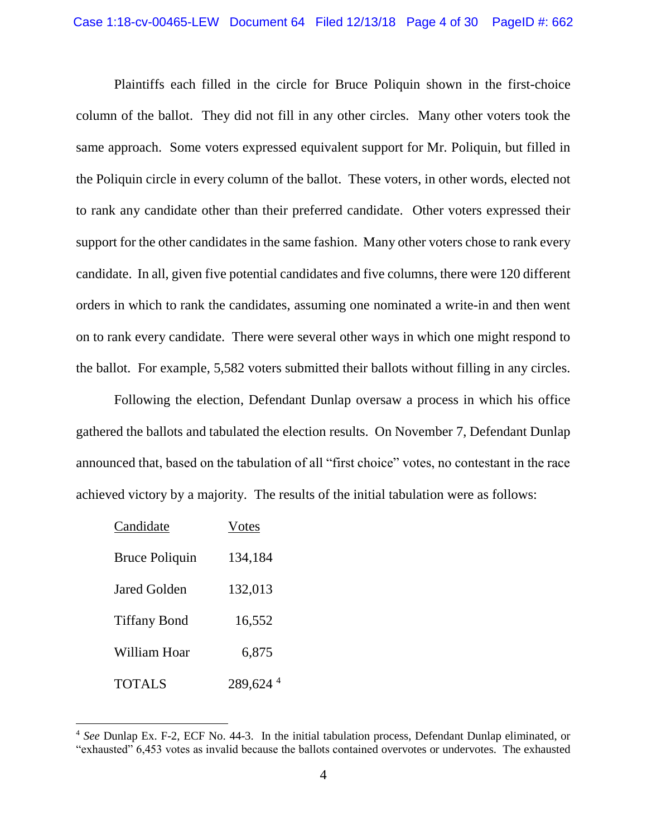Plaintiffs each filled in the circle for Bruce Poliquin shown in the first-choice column of the ballot. They did not fill in any other circles. Many other voters took the same approach. Some voters expressed equivalent support for Mr. Poliquin, but filled in the Poliquin circle in every column of the ballot. These voters, in other words, elected not to rank any candidate other than their preferred candidate. Other voters expressed their support for the other candidates in the same fashion. Many other voters chose to rank every candidate. In all, given five potential candidates and five columns, there were 120 different orders in which to rank the candidates, assuming one nominated a write-in and then went on to rank every candidate. There were several other ways in which one might respond to the ballot. For example, 5,582 voters submitted their ballots without filling in any circles.

Following the election, Defendant Dunlap oversaw a process in which his office gathered the ballots and tabulated the election results. On November 7, Defendant Dunlap announced that, based on the tabulation of all "first choice" votes, no contestant in the race achieved victory by a majority. The results of the initial tabulation were as follows:

| Candidate             | Votes   |
|-----------------------|---------|
| <b>Bruce Poliquin</b> | 134,184 |
| Jared Golden          | 132,013 |
| <b>Tiffany Bond</b>   | 16,552  |
| William Hoar          | 6,875   |
| TOTAL S               | 289,624 |

<sup>4</sup> *See* Dunlap Ex. F-2, ECF No. 44-3. In the initial tabulation process, Defendant Dunlap eliminated, or "exhausted" 6,453 votes as invalid because the ballots contained overvotes or undervotes. The exhausted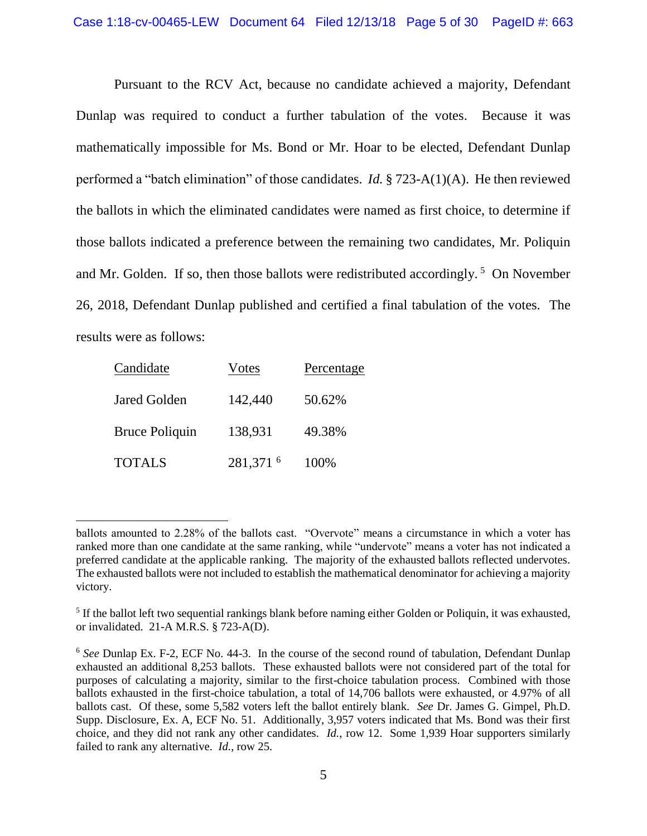Pursuant to the RCV Act, because no candidate achieved a majority, Defendant Dunlap was required to conduct a further tabulation of the votes. Because it was mathematically impossible for Ms. Bond or Mr. Hoar to be elected, Defendant Dunlap performed a "batch elimination" of those candidates. *Id.* § 723-A(1)(A). He then reviewed the ballots in which the eliminated candidates were named as first choice, to determine if those ballots indicated a preference between the remaining two candidates, Mr. Poliquin and Mr. Golden. If so, then those ballots were redistributed accordingly.<sup>5</sup> On November 26, 2018, Defendant Dunlap published and certified a final tabulation of the votes. The results were as follows:

| Candidate             | Votes     | Percentage |
|-----------------------|-----------|------------|
| Jared Golden          | 142,440   | 50.62%     |
| <b>Bruce Poliquin</b> | 138,931   | 49.38%     |
| <b>TOTALS</b>         | 281,371 6 | 100%       |

ballots amounted to 2.28% of the ballots cast. "Overvote" means a circumstance in which a voter has ranked more than one candidate at the same ranking, while "undervote" means a voter has not indicated a preferred candidate at the applicable ranking. The majority of the exhausted ballots reflected undervotes. The exhausted ballots were not included to establish the mathematical denominator for achieving a majority victory.

<sup>&</sup>lt;sup>5</sup> If the ballot left two sequential rankings blank before naming either Golden or Poliquin, it was exhausted, or invalidated. 21-A M.R.S. § 723-A(D).

<sup>6</sup> *See* Dunlap Ex. F-2, ECF No. 44-3. In the course of the second round of tabulation, Defendant Dunlap exhausted an additional 8,253 ballots. These exhausted ballots were not considered part of the total for purposes of calculating a majority, similar to the first-choice tabulation process. Combined with those ballots exhausted in the first-choice tabulation, a total of 14,706 ballots were exhausted, or 4.97% of all ballots cast. Of these, some 5,582 voters left the ballot entirely blank. *See* Dr. James G. Gimpel, Ph.D. Supp. Disclosure, Ex. A, ECF No. 51. Additionally, 3,957 voters indicated that Ms. Bond was their first choice, and they did not rank any other candidates. *Id.*, row 12.Some 1,939 Hoar supporters similarly failed to rank any alternative. *Id.*, row 25.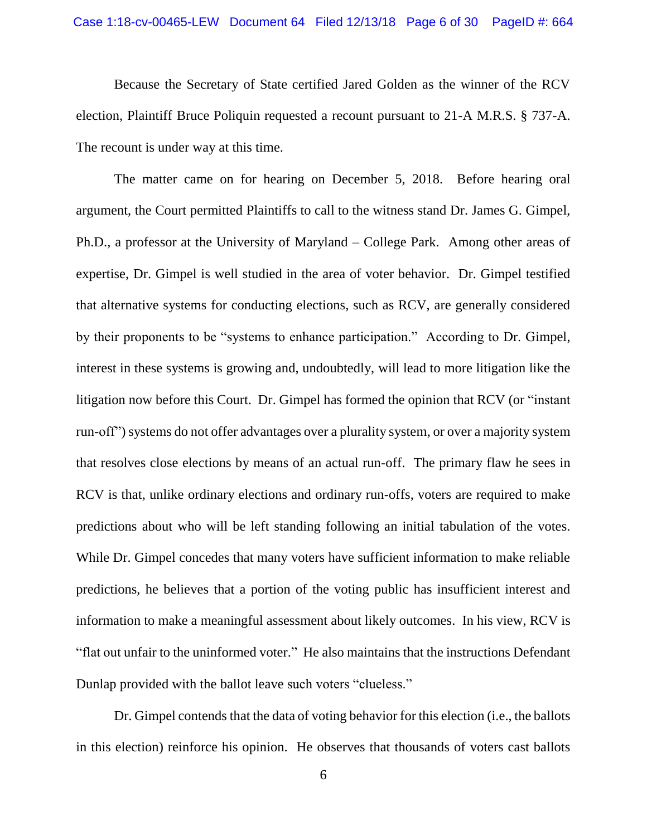Because the Secretary of State certified Jared Golden as the winner of the RCV election, Plaintiff Bruce Poliquin requested a recount pursuant to 21-A M.R.S. § 737-A. The recount is under way at this time.

The matter came on for hearing on December 5, 2018. Before hearing oral argument, the Court permitted Plaintiffs to call to the witness stand Dr. James G. Gimpel, Ph.D., a professor at the University of Maryland – College Park. Among other areas of expertise, Dr. Gimpel is well studied in the area of voter behavior. Dr. Gimpel testified that alternative systems for conducting elections, such as RCV, are generally considered by their proponents to be "systems to enhance participation." According to Dr. Gimpel, interest in these systems is growing and, undoubtedly, will lead to more litigation like the litigation now before this Court. Dr. Gimpel has formed the opinion that RCV (or "instant run-off") systems do not offer advantages over a plurality system, or over a majority system that resolves close elections by means of an actual run-off. The primary flaw he sees in RCV is that, unlike ordinary elections and ordinary run-offs, voters are required to make predictions about who will be left standing following an initial tabulation of the votes. While Dr. Gimpel concedes that many voters have sufficient information to make reliable predictions, he believes that a portion of the voting public has insufficient interest and information to make a meaningful assessment about likely outcomes. In his view, RCV is "flat out unfair to the uninformed voter." He also maintains that the instructions Defendant Dunlap provided with the ballot leave such voters "clueless."

Dr. Gimpel contends that the data of voting behavior for this election (i.e., the ballots in this election) reinforce his opinion. He observes that thousands of voters cast ballots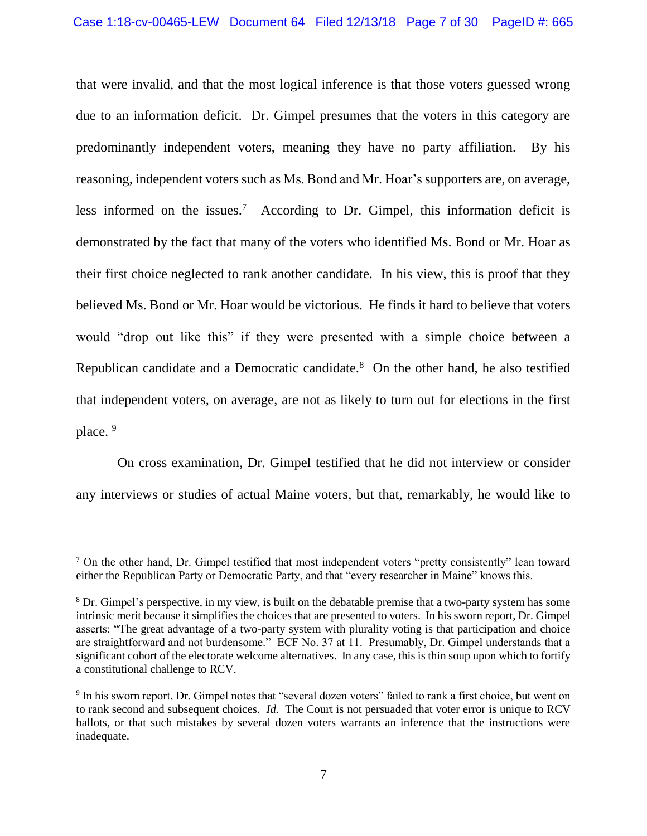that were invalid, and that the most logical inference is that those voters guessed wrong due to an information deficit. Dr. Gimpel presumes that the voters in this category are predominantly independent voters, meaning they have no party affiliation. By his reasoning, independent voters such as Ms. Bond and Mr. Hoar's supporters are, on average, less informed on the issues.<sup>7</sup> According to Dr. Gimpel, this information deficit is demonstrated by the fact that many of the voters who identified Ms. Bond or Mr. Hoar as their first choice neglected to rank another candidate. In his view, this is proof that they believed Ms. Bond or Mr. Hoar would be victorious. He finds it hard to believe that voters would "drop out like this" if they were presented with a simple choice between a Republican candidate and a Democratic candidate. $8$  On the other hand, he also testified that independent voters, on average, are not as likely to turn out for elections in the first place.<sup>9</sup>

On cross examination, Dr. Gimpel testified that he did not interview or consider any interviews or studies of actual Maine voters, but that, remarkably, he would like to

 $\overline{a}$ 

<sup>&</sup>lt;sup>7</sup> On the other hand, Dr. Gimpel testified that most independent voters "pretty consistently" lean toward either the Republican Party or Democratic Party, and that "every researcher in Maine" knows this.

<sup>8</sup> Dr. Gimpel's perspective, in my view, is built on the debatable premise that a two-party system has some intrinsic merit because it simplifies the choices that are presented to voters. In his sworn report, Dr. Gimpel asserts: "The great advantage of a two-party system with plurality voting is that participation and choice are straightforward and not burdensome." ECF No. 37 at 11. Presumably, Dr. Gimpel understands that a significant cohort of the electorate welcome alternatives. In any case, this is thin soup upon which to fortify a constitutional challenge to RCV.

<sup>&</sup>lt;sup>9</sup> In his sworn report, Dr. Gimpel notes that "several dozen voters" failed to rank a first choice, but went on to rank second and subsequent choices. *Id.* The Court is not persuaded that voter error is unique to RCV ballots, or that such mistakes by several dozen voters warrants an inference that the instructions were inadequate.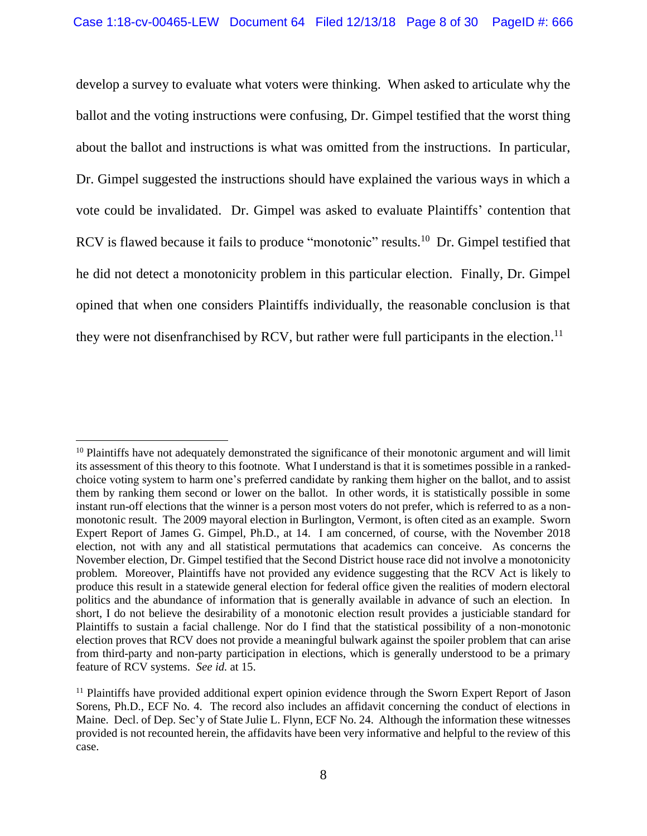develop a survey to evaluate what voters were thinking. When asked to articulate why the ballot and the voting instructions were confusing, Dr. Gimpel testified that the worst thing about the ballot and instructions is what was omitted from the instructions. In particular, Dr. Gimpel suggested the instructions should have explained the various ways in which a vote could be invalidated. Dr. Gimpel was asked to evaluate Plaintiffs' contention that RCV is flawed because it fails to produce "monotonic" results.<sup>10</sup> Dr. Gimpel testified that he did not detect a monotonicity problem in this particular election. Finally, Dr. Gimpel opined that when one considers Plaintiffs individually, the reasonable conclusion is that they were not disenfranchised by RCV, but rather were full participants in the election.<sup>11</sup>

 $\overline{a}$ 

<sup>&</sup>lt;sup>10</sup> Plaintiffs have not adequately demonstrated the significance of their monotonic argument and will limit its assessment of this theory to this footnote. What I understand is that it is sometimes possible in a rankedchoice voting system to harm one's preferred candidate by ranking them higher on the ballot, and to assist them by ranking them second or lower on the ballot. In other words, it is statistically possible in some instant run-off elections that the winner is a person most voters do not prefer, which is referred to as a nonmonotonic result. The 2009 mayoral election in Burlington, Vermont, is often cited as an example. Sworn Expert Report of James G. Gimpel, Ph.D., at 14. I am concerned, of course, with the November 2018 election, not with any and all statistical permutations that academics can conceive. As concerns the November election, Dr. Gimpel testified that the Second District house race did not involve a monotonicity problem. Moreover, Plaintiffs have not provided any evidence suggesting that the RCV Act is likely to produce this result in a statewide general election for federal office given the realities of modern electoral politics and the abundance of information that is generally available in advance of such an election. In short, I do not believe the desirability of a monotonic election result provides a justiciable standard for Plaintiffs to sustain a facial challenge. Nor do I find that the statistical possibility of a non-monotonic election proves that RCV does not provide a meaningful bulwark against the spoiler problem that can arise from third-party and non-party participation in elections, which is generally understood to be a primary feature of RCV systems. *See id.* at 15.

<sup>&</sup>lt;sup>11</sup> Plaintiffs have provided additional expert opinion evidence through the Sworn Expert Report of Jason Sorens, Ph.D., ECF No. 4. The record also includes an affidavit concerning the conduct of elections in Maine. Decl. of Dep. Sec'y of State Julie L. Flynn, ECF No. 24. Although the information these witnesses provided is not recounted herein, the affidavits have been very informative and helpful to the review of this case.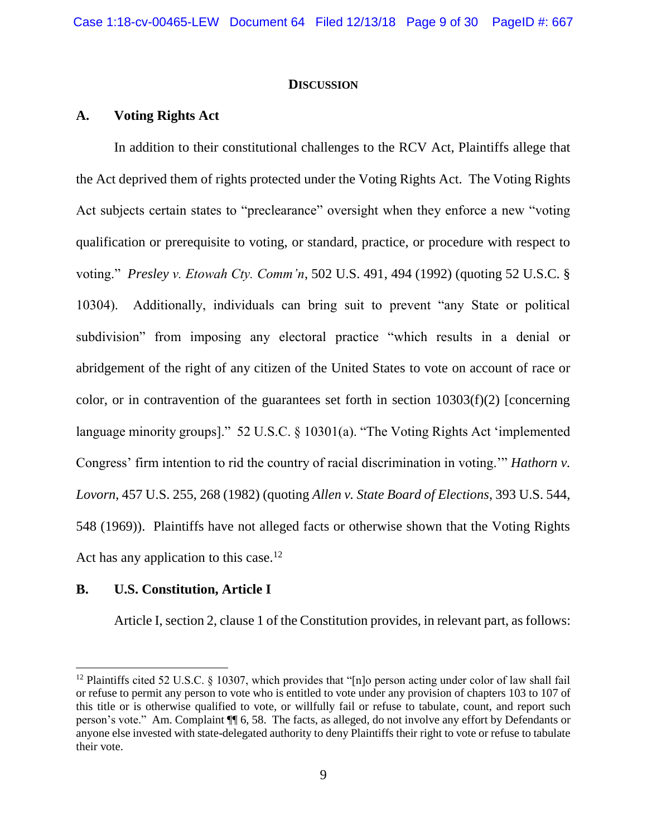#### **DISCUSSION**

### **A. Voting Rights Act**

In addition to their constitutional challenges to the RCV Act, Plaintiffs allege that the Act deprived them of rights protected under the Voting Rights Act. The Voting Rights Act subjects certain states to "preclearance" oversight when they enforce a new "voting qualification or prerequisite to voting, or standard, practice, or procedure with respect to voting." *Presley v. Etowah Cty. Comm'n*, 502 U.S. 491, 494 (1992) (quoting 52 U.S.C. § 10304). Additionally, individuals can bring suit to prevent "any State or political subdivision" from imposing any electoral practice "which results in a denial or abridgement of the right of any citizen of the United States to vote on account of race or color, or in contravention of the guarantees set forth in section  $10303(f)(2)$  [concerning language minority groups]." 52 U.S.C. § 10301(a). "The Voting Rights Act 'implemented Congress' firm intention to rid the country of racial discrimination in voting.'" *Hathorn v. Lovorn*, 457 U.S. 255, 268 (1982) (quoting *Allen v. State Board of Elections*, 393 U.S. 544, 548 (1969)). Plaintiffs have not alleged facts or otherwise shown that the Voting Rights Act has any application to this case.<sup>12</sup>

### **B. U.S. Constitution, Article I**

l

Article I, section 2, clause 1 of the Constitution provides, in relevant part, as follows:

<sup>&</sup>lt;sup>12</sup> Plaintiffs cited 52 U.S.C. § 10307, which provides that "[n]o person acting under color of law shall fail or refuse to permit any person to vote who is entitled to vote under any provision of chapters 103 to 107 of this title or is otherwise qualified to vote, or willfully fail or refuse to tabulate, count, and report such person's vote." Am. Complaint ¶¶ 6, 58. The facts, as alleged, do not involve any effort by Defendants or anyone else invested with state-delegated authority to deny Plaintiffs their right to vote or refuse to tabulate their vote.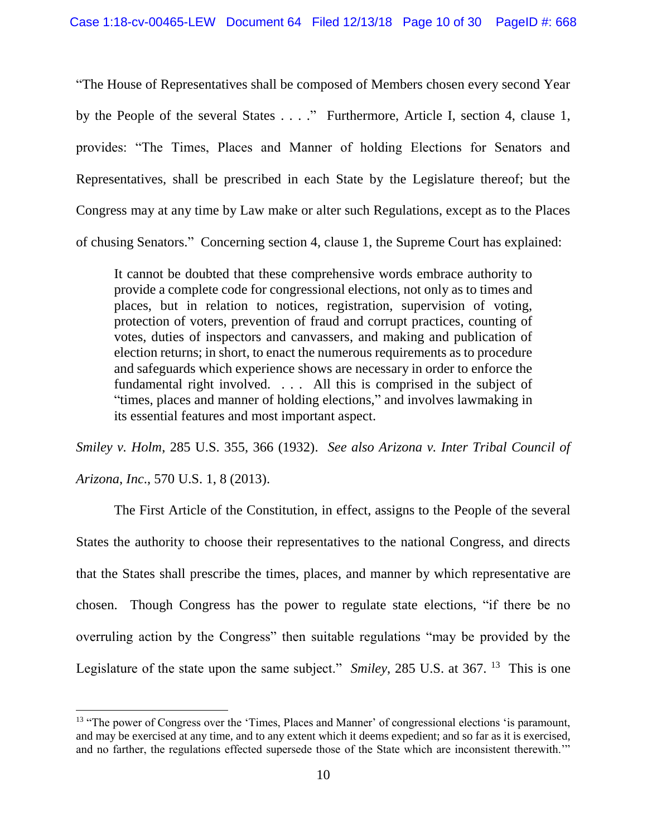"The House of Representatives shall be composed of Members chosen every second Year by the People of the several States . . . ." Furthermore, Article I, section 4, clause 1, provides: "The Times, Places and Manner of holding Elections for Senators and Representatives, shall be prescribed in each State by the Legislature thereof; but the Congress may at any time by Law make or alter such Regulations, except as to the Places of chusing Senators." Concerning section 4, clause 1, the Supreme Court has explained:

It cannot be doubted that these comprehensive words embrace authority to provide a complete code for congressional elections, not only as to times and places, but in relation to notices, registration, supervision of voting, protection of voters, prevention of fraud and corrupt practices, counting of votes, duties of inspectors and canvassers, and making and publication of election returns; in short, to enact the numerous requirements as to procedure and safeguards which experience shows are necessary in order to enforce the fundamental right involved. . . . All this is comprised in the subject of "times, places and manner of holding elections," and involves lawmaking in its essential features and most important aspect.

*Smiley v. Holm*, 285 U.S. 355, 366 (1932). *See also Arizona v. Inter Tribal Council of Arizona*, *Inc*., 570 U.S. 1, 8 (2013).

The First Article of the Constitution, in effect, assigns to the People of the several States the authority to choose their representatives to the national Congress, and directs that the States shall prescribe the times, places, and manner by which representative are chosen. Though Congress has the power to regulate state elections, "if there be no overruling action by the Congress" then suitable regulations "may be provided by the Legislature of the state upon the same subject." *Smiley*, 285 U.S. at 367. <sup>13</sup> This is one

<sup>&</sup>lt;sup>13</sup> "The power of Congress over the 'Times, Places and Manner' of congressional elections 'is paramount, and may be exercised at any time, and to any extent which it deems expedient; and so far as it is exercised, and no farther, the regulations effected supersede those of the State which are inconsistent therewith.'"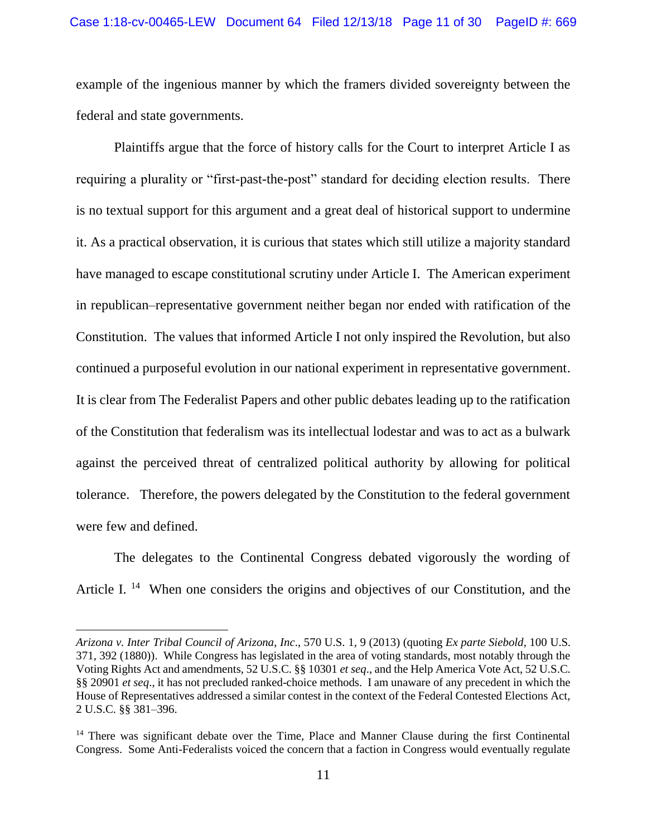#### Case 1:18-cv-00465-LEW Document 64 Filed 12/13/18 Page 11 of 30 PageID #: 669

example of the ingenious manner by which the framers divided sovereignty between the federal and state governments.

Plaintiffs argue that the force of history calls for the Court to interpret Article I as requiring a plurality or "first-past-the-post" standard for deciding election results. There is no textual support for this argument and a great deal of historical support to undermine it. As a practical observation, it is curious that states which still utilize a majority standard have managed to escape constitutional scrutiny under Article I. The American experiment in republican–representative government neither began nor ended with ratification of the Constitution. The values that informed Article I not only inspired the Revolution, but also continued a purposeful evolution in our national experiment in representative government. It is clear from The Federalist Papers and other public debates leading up to the ratification of the Constitution that federalism was its intellectual lodestar and was to act as a bulwark against the perceived threat of centralized political authority by allowing for political tolerance. Therefore, the powers delegated by the Constitution to the federal government were few and defined.

The delegates to the Continental Congress debated vigorously the wording of Article I.<sup>14</sup> When one considers the origins and objectives of our Constitution, and the

*Arizona v. Inter Tribal Council of Arizona*, *Inc*., 570 U.S. 1, 9 (2013) (quoting *Ex parte Siebold*, 100 U.S. 371, 392 (1880)). While Congress has legislated in the area of voting standards, most notably through the Voting Rights Act and amendments, 52 U.S.C. §§ 10301 *et seq*., and the Help America Vote Act, 52 U.S.C. §§ 20901 *et seq*., it has not precluded ranked-choice methods. I am unaware of any precedent in which the House of Representatives addressed a similar contest in the context of the Federal Contested Elections Act, 2 U.S.C. §§ 381–396.

<sup>&</sup>lt;sup>14</sup> There was significant debate over the Time, Place and Manner Clause during the first Continental Congress. Some Anti-Federalists voiced the concern that a faction in Congress would eventually regulate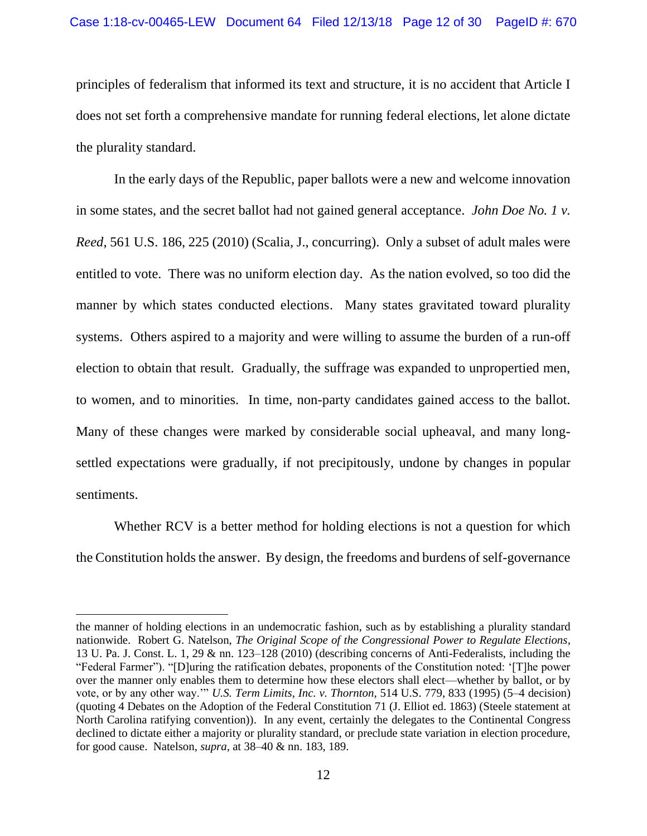principles of federalism that informed its text and structure, it is no accident that Article I does not set forth a comprehensive mandate for running federal elections, let alone dictate the plurality standard.

In the early days of the Republic, paper ballots were a new and welcome innovation in some states, and the secret ballot had not gained general acceptance. *John Doe No. 1 v. Reed*, 561 U.S. 186, 225 (2010) (Scalia, J., concurring). Only a subset of adult males were entitled to vote. There was no uniform election day. As the nation evolved, so too did the manner by which states conducted elections. Many states gravitated toward plurality systems. Others aspired to a majority and were willing to assume the burden of a run-off election to obtain that result. Gradually, the suffrage was expanded to unpropertied men, to women, and to minorities. In time, non-party candidates gained access to the ballot. Many of these changes were marked by considerable social upheaval, and many longsettled expectations were gradually, if not precipitously, undone by changes in popular sentiments.

Whether RCV is a better method for holding elections is not a question for which the Constitution holds the answer. By design, the freedoms and burdens of self-governance

the manner of holding elections in an undemocratic fashion, such as by establishing a plurality standard nationwide. Robert G. Natelson, *The Original Scope of the Congressional Power to Regulate Elections*, 13 U. Pa. J. Const. L. 1, 29 & nn. 123–128 (2010) (describing concerns of Anti-Federalists, including the "Federal Farmer"). "[D]uring the ratification debates, proponents of the Constitution noted: '[T]he power over the manner only enables them to determine how these electors shall elect—whether by ballot, or by vote, or by any other way.'" *U.S. Term Limits*, *Inc. v. Thornton*, 514 U.S. 779, 833 (1995) (5–4 decision) (quoting 4 Debates on the Adoption of the Federal Constitution 71 (J. Elliot ed. 1863) (Steele statement at North Carolina ratifying convention)). In any event, certainly the delegates to the Continental Congress declined to dictate either a majority or plurality standard, or preclude state variation in election procedure, for good cause. Natelson, *supra*, at 38–40 & nn. 183, 189.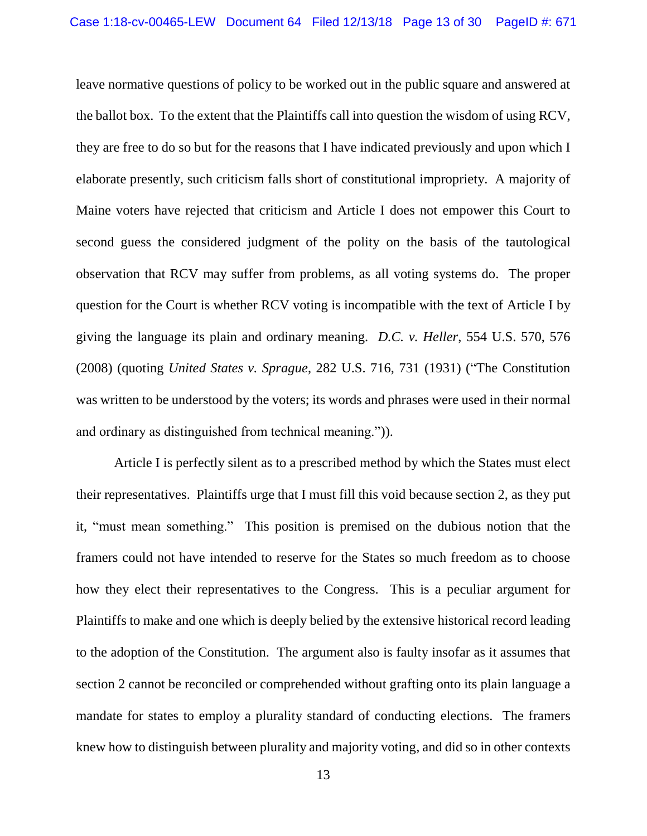leave normative questions of policy to be worked out in the public square and answered at the ballot box. To the extent that the Plaintiffs call into question the wisdom of using RCV, they are free to do so but for the reasons that I have indicated previously and upon which I elaborate presently, such criticism falls short of constitutional impropriety. A majority of Maine voters have rejected that criticism and Article I does not empower this Court to second guess the considered judgment of the polity on the basis of the tautological observation that RCV may suffer from problems, as all voting systems do. The proper question for the Court is whether RCV voting is incompatible with the text of Article I by giving the language its plain and ordinary meaning. *D.C. v. Heller*, 554 U.S. 570, 576 (2008) (quoting *United States v. Sprague*, 282 U.S. 716, 731 (1931) ("The Constitution was written to be understood by the voters; its words and phrases were used in their normal and ordinary as distinguished from technical meaning.")).

Article I is perfectly silent as to a prescribed method by which the States must elect their representatives. Plaintiffs urge that I must fill this void because section 2, as they put it, "must mean something." This position is premised on the dubious notion that the framers could not have intended to reserve for the States so much freedom as to choose how they elect their representatives to the Congress. This is a peculiar argument for Plaintiffs to make and one which is deeply belied by the extensive historical record leading to the adoption of the Constitution. The argument also is faulty insofar as it assumes that section 2 cannot be reconciled or comprehended without grafting onto its plain language a mandate for states to employ a plurality standard of conducting elections. The framers knew how to distinguish between plurality and majority voting, and did so in other contexts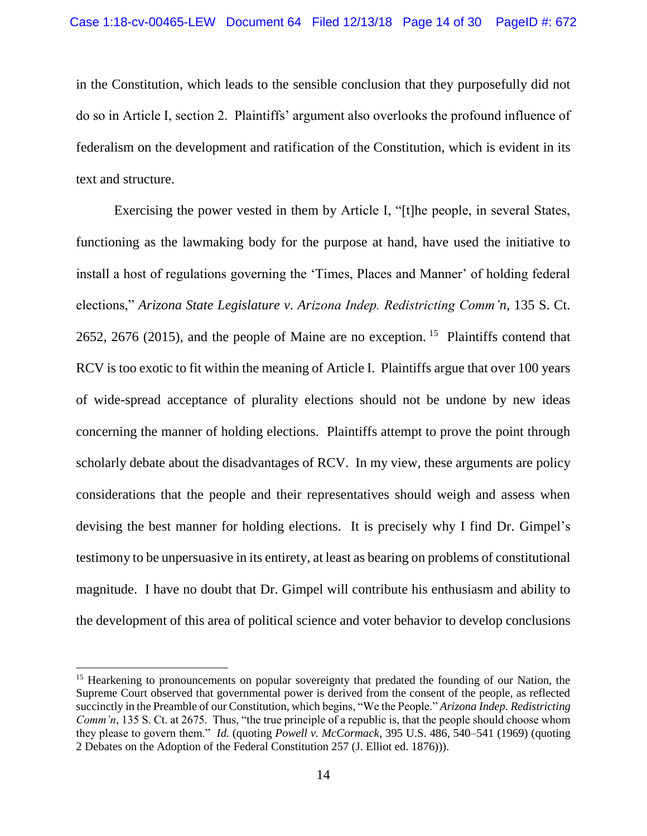in the Constitution, which leads to the sensible conclusion that they purposefully did not do so in Article I, section 2. Plaintiffs' argument also overlooks the profound influence of federalism on the development and ratification of the Constitution, which is evident in its text and structure.

Exercising the power vested in them by Article I, "[t]he people, in several States, functioning as the lawmaking body for the purpose at hand, have used the initiative to install a host of regulations governing the 'Times, Places and Manner' of holding federal elections," *Arizona State Legislature v. Arizona Indep. Redistricting Comm'n*, 135 S. Ct. 2652, 2676 (2015), and the people of Maine are no exception. <sup>15</sup> Plaintiffs contend that RCV is too exotic to fit within the meaning of Article I. Plaintiffs argue that over 100 years of wide-spread acceptance of plurality elections should not be undone by new ideas concerning the manner of holding elections. Plaintiffs attempt to prove the point through scholarly debate about the disadvantages of RCV. In my view, these arguments are policy considerations that the people and their representatives should weigh and assess when devising the best manner for holding elections. It is precisely why I find Dr. Gimpel's testimony to be unpersuasive in its entirety, at least as bearing on problems of constitutional magnitude. I have no doubt that Dr. Gimpel will contribute his enthusiasm and ability to the development of this area of political science and voter behavior to develop conclusions

<sup>&</sup>lt;sup>15</sup> Hearkening to pronouncements on popular sovereignty that predated the founding of our Nation, the Supreme Court observed that governmental power is derived from the consent of the people, as reflected succinctly in the Preamble of our Constitution, which begins, "We the People." *Arizona Indep. Redistricting Comm'n*, 135 S. Ct. at 2675. Thus, "the true principle of a republic is, that the people should choose whom they please to govern them." *Id.* (quoting *Powell v. McCormack*, 395 U.S. 486, 540–541 (1969) (quoting 2 Debates on the Adoption of the Federal Constitution 257 (J. Elliot ed. 1876))).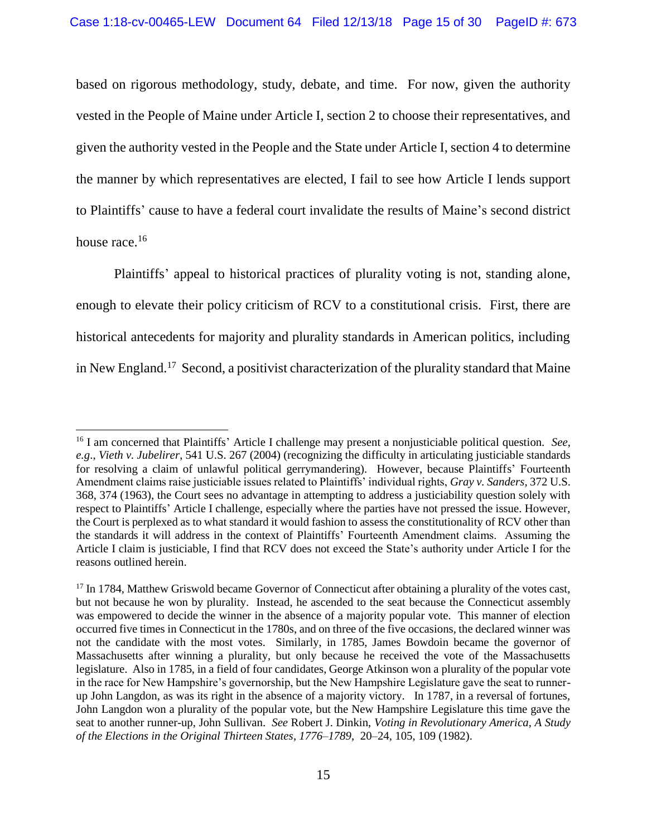based on rigorous methodology, study, debate, and time. For now, given the authority vested in the People of Maine under Article I, section 2 to choose their representatives, and given the authority vested in the People and the State under Article I, section 4 to determine the manner by which representatives are elected, I fail to see how Article I lends support to Plaintiffs' cause to have a federal court invalidate the results of Maine's second district house race.<sup>16</sup>

Plaintiffs' appeal to historical practices of plurality voting is not, standing alone, enough to elevate their policy criticism of RCV to a constitutional crisis. First, there are historical antecedents for majority and plurality standards in American politics, including in New England.<sup>17</sup> Second, a positivist characterization of the plurality standard that Maine

 $\overline{a}$ 

<sup>16</sup> I am concerned that Plaintiffs' Article I challenge may present a nonjusticiable political question. *See*, *e.g*., *Vieth v. Jubelirer*, 541 U.S. 267 (2004) (recognizing the difficulty in articulating justiciable standards for resolving a claim of unlawful political gerrymandering). However, because Plaintiffs' Fourteenth Amendment claims raise justiciable issues related to Plaintiffs' individual rights, *Gray v. Sanders*, 372 U.S. 368, 374 (1963), the Court sees no advantage in attempting to address a justiciability question solely with respect to Plaintiffs' Article I challenge, especially where the parties have not pressed the issue. However, the Court is perplexed as to what standard it would fashion to assess the constitutionality of RCV other than the standards it will address in the context of Plaintiffs' Fourteenth Amendment claims. Assuming the Article I claim is justiciable, I find that RCV does not exceed the State's authority under Article I for the reasons outlined herein.

<sup>&</sup>lt;sup>17</sup> In 1784, Matthew Griswold became Governor of Connecticut after obtaining a plurality of the votes cast, but not because he won by plurality. Instead, he ascended to the seat because the Connecticut assembly was empowered to decide the winner in the absence of a majority popular vote. This manner of election occurred five times in Connecticut in the 1780s, and on three of the five occasions, the declared winner was not the candidate with the most votes. Similarly, in 1785, James Bowdoin became the governor of Massachusetts after winning a plurality, but only because he received the vote of the Massachusetts legislature. Also in 1785, in a field of four candidates, George Atkinson won a plurality of the popular vote in the race for New Hampshire's governorship, but the New Hampshire Legislature gave the seat to runnerup John Langdon, as was its right in the absence of a majority victory. In 1787, in a reversal of fortunes, John Langdon won a plurality of the popular vote, but the New Hampshire Legislature this time gave the seat to another runner-up, John Sullivan. *See* Robert J. Dinkin, *Voting in Revolutionary America*, *A Study of the Elections in the Original Thirteen States*, *1776–1789*, 20–24, 105, 109 (1982).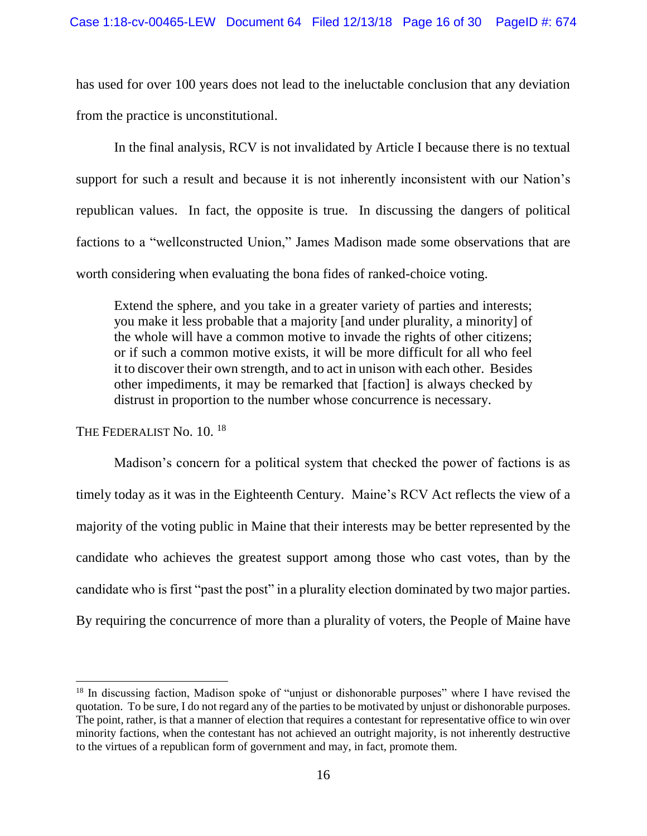has used for over 100 years does not lead to the ineluctable conclusion that any deviation from the practice is unconstitutional.

In the final analysis, RCV is not invalidated by Article I because there is no textual support for such a result and because it is not inherently inconsistent with our Nation's republican values. In fact, the opposite is true. In discussing the dangers of political factions to a "wellconstructed Union," James Madison made some observations that are worth considering when evaluating the bona fides of ranked-choice voting.

Extend the sphere, and you take in a greater variety of parties and interests; you make it less probable that a majority [and under plurality, a minority] of the whole will have a common motive to invade the rights of other citizens; or if such a common motive exists, it will be more difficult for all who feel it to discover their own strength, and to act in unison with each other. Besides other impediments, it may be remarked that [faction] is always checked by distrust in proportion to the number whose concurrence is necessary.

THE FEDERALIST No. 10. <sup>18</sup>

 $\overline{a}$ 

Madison's concern for a political system that checked the power of factions is as timely today as it was in the Eighteenth Century. Maine's RCV Act reflects the view of a majority of the voting public in Maine that their interests may be better represented by the candidate who achieves the greatest support among those who cast votes, than by the candidate who is first "past the post" in a plurality election dominated by two major parties. By requiring the concurrence of more than a plurality of voters, the People of Maine have

<sup>&</sup>lt;sup>18</sup> In discussing faction, Madison spoke of "unjust or dishonorable purposes" where I have revised the quotation. To be sure, I do not regard any of the parties to be motivated by unjust or dishonorable purposes. The point, rather, is that a manner of election that requires a contestant for representative office to win over minority factions, when the contestant has not achieved an outright majority, is not inherently destructive to the virtues of a republican form of government and may, in fact, promote them.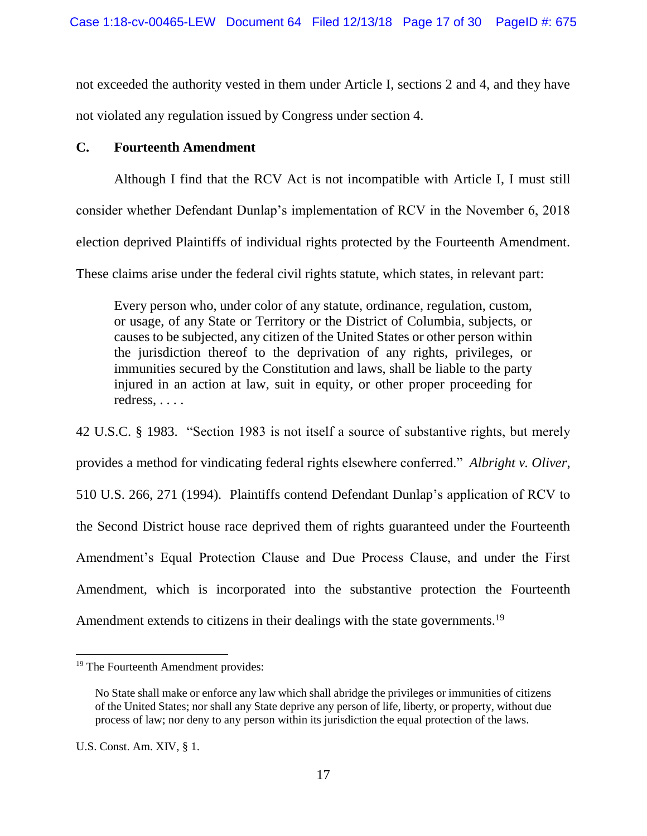not exceeded the authority vested in them under Article I, sections 2 and 4, and they have not violated any regulation issued by Congress under section 4.

# **C. Fourteenth Amendment**

Although I find that the RCV Act is not incompatible with Article I, I must still consider whether Defendant Dunlap's implementation of RCV in the November 6, 2018 election deprived Plaintiffs of individual rights protected by the Fourteenth Amendment. These claims arise under the federal civil rights statute, which states, in relevant part:

Every person who, under color of any statute, ordinance, regulation, custom, or usage, of any State or Territory or the District of Columbia, subjects, or causes to be subjected, any citizen of the United States or other person within the jurisdiction thereof to the deprivation of any rights, privileges, or immunities secured by the Constitution and laws, shall be liable to the party injured in an action at law, suit in equity, or other proper proceeding for redress, . . . .

42 U.S.C. § 1983. "Section 1983 is not itself a source of substantive rights, but merely provides a method for vindicating federal rights elsewhere conferred." *Albright v. Oliver*, 510 U.S. 266, 271 (1994). Plaintiffs contend Defendant Dunlap's application of RCV to the Second District house race deprived them of rights guaranteed under the Fourteenth Amendment's Equal Protection Clause and Due Process Clause, and under the First Amendment, which is incorporated into the substantive protection the Fourteenth Amendment extends to citizens in their dealings with the state governments.<sup>19</sup>

<sup>&</sup>lt;sup>19</sup> The Fourteenth Amendment provides:

No State shall make or enforce any law which shall abridge the privileges or immunities of citizens of the United States; nor shall any State deprive any person of life, liberty, or property, without due process of law; nor deny to any person within its jurisdiction the equal protection of the laws.

U.S. Const. Am. XIV, § 1.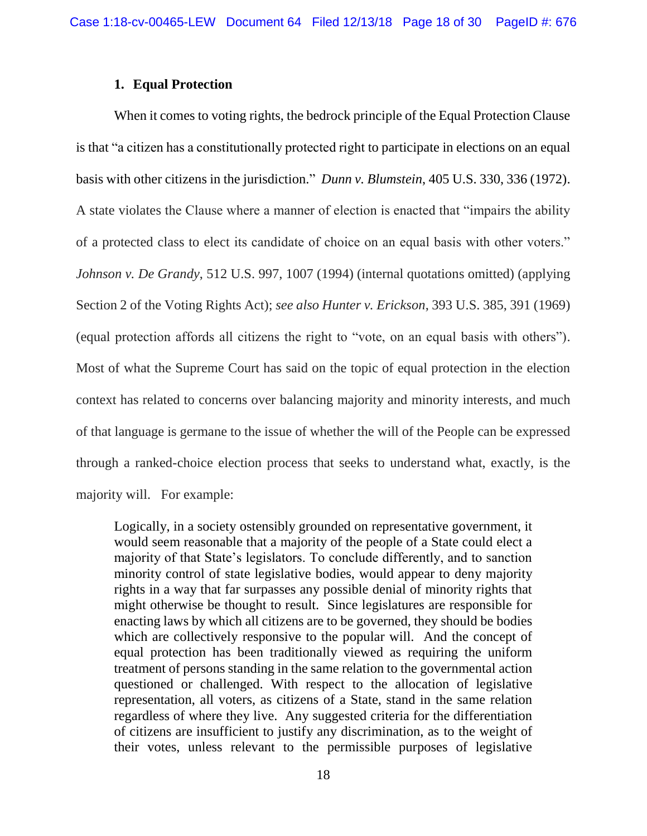### **1. Equal Protection**

When it comes to voting rights, the bedrock principle of the Equal Protection Clause is that "a citizen has a constitutionally protected right to participate in elections on an equal basis with other citizens in the jurisdiction." *Dunn v. Blumstein*, 405 U.S. 330, 336 (1972). A state violates the Clause where a manner of election is enacted that "impairs the ability of a protected class to elect its candidate of choice on an equal basis with other voters." *Johnson v. De Grandy*, 512 U.S. 997, 1007 (1994) (internal quotations omitted) (applying Section 2 of the Voting Rights Act); *see also Hunter v. Erickson*, 393 U.S. 385, 391 (1969) (equal protection affords all citizens the right to "vote, on an equal basis with others"). Most of what the Supreme Court has said on the topic of equal protection in the election context has related to concerns over balancing majority and minority interests, and much of that language is germane to the issue of whether the will of the People can be expressed through a ranked-choice election process that seeks to understand what, exactly, is the majority will. For example:

Logically, in a society ostensibly grounded on representative government, it would seem reasonable that a majority of the people of a State could elect a majority of that State's legislators. To conclude differently, and to sanction minority control of state legislative bodies, would appear to deny majority rights in a way that far surpasses any possible denial of minority rights that might otherwise be thought to result. Since legislatures are responsible for enacting laws by which all citizens are to be governed, they should be bodies which are collectively responsive to the popular will. And the concept of equal protection has been traditionally viewed as requiring the uniform treatment of persons standing in the same relation to the governmental action questioned or challenged. With respect to the allocation of legislative representation, all voters, as citizens of a State, stand in the same relation regardless of where they live. Any suggested criteria for the differentiation of citizens are insufficient to justify any discrimination, as to the weight of their votes, unless relevant to the permissible purposes of legislative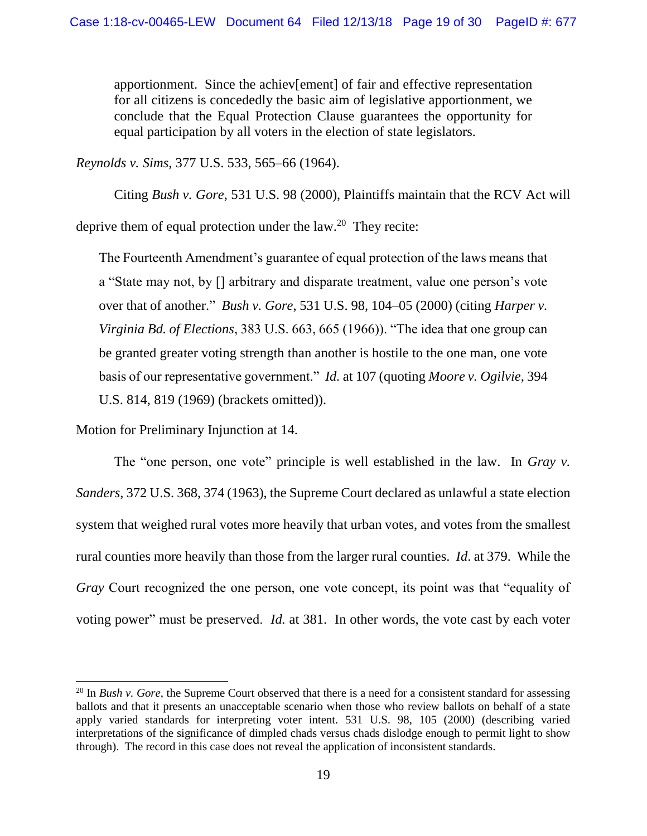apportionment. Since the achiev[ement] of fair and effective representation for all citizens is concededly the basic aim of legislative apportionment, we conclude that the Equal Protection Clause guarantees the opportunity for equal participation by all voters in the election of state legislators.

*Reynolds v. Sims*, 377 U.S. 533, 565–66 (1964).

Citing *Bush v. Gore*, 531 U.S. 98 (2000), Plaintiffs maintain that the RCV Act will deprive them of equal protection under the  $law.^{20}$  They recite:

The Fourteenth Amendment's guarantee of equal protection of the laws means that a "State may not, by [] arbitrary and disparate treatment, value one person's vote over that of another." *Bush v. Gore*, 531 U.S. 98, 104–05 (2000) (citing *Harper v. Virginia Bd. of Elections*, 383 U.S. 663, 665 (1966)). "The idea that one group can be granted greater voting strength than another is hostile to the one man, one vote basis of our representative government." *Id.* at 107 (quoting *Moore v. Ogilvie*, 394 U.S. 814, 819 (1969) (brackets omitted)).

Motion for Preliminary Injunction at 14.

 $\overline{a}$ 

The "one person, one vote" principle is well established in the law. In *Gray v*. *Sanders*, 372 U.S. 368, 374 (1963), the Supreme Court declared as unlawful a state election system that weighed rural votes more heavily that urban votes, and votes from the smallest rural counties more heavily than those from the larger rural counties. *Id*. at 379. While the *Gray* Court recognized the one person, one vote concept, its point was that "equality of voting power" must be preserved. *Id.* at 381. In other words, the vote cast by each voter

<sup>&</sup>lt;sup>20</sup> In *Bush v. Gore*, the Supreme Court observed that there is a need for a consistent standard for assessing ballots and that it presents an unacceptable scenario when those who review ballots on behalf of a state apply varied standards for interpreting voter intent. 531 U.S. 98, 105 (2000) (describing varied interpretations of the significance of dimpled chads versus chads dislodge enough to permit light to show through). The record in this case does not reveal the application of inconsistent standards.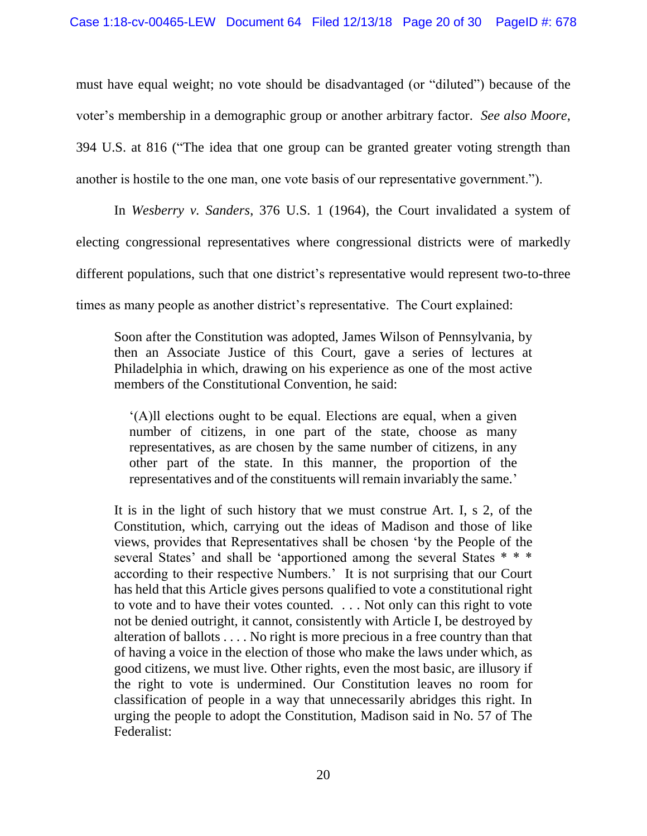must have equal weight; no vote should be disadvantaged (or "diluted") because of the voter's membership in a demographic group or another arbitrary factor. *See also Moore*, 394 U.S. at 816 ("The idea that one group can be granted greater voting strength than another is hostile to the one man, one vote basis of our representative government.").

In *Wesberry v. Sanders*, 376 U.S. 1 (1964), the Court invalidated a system of electing congressional representatives where congressional districts were of markedly different populations, such that one district's representative would represent two-to-three times as many people as another district's representative. The Court explained:

Soon after the Constitution was adopted, James Wilson of Pennsylvania, by then an Associate Justice of this Court, gave a series of lectures at Philadelphia in which, drawing on his experience as one of the most active members of the Constitutional Convention, he said:

'(A)ll elections ought to be equal. Elections are equal, when a given number of citizens, in one part of the state, choose as many representatives, as are chosen by the same number of citizens, in any other part of the state. In this manner, the proportion of the representatives and of the constituents will remain invariably the same.'

It is in the light of such history that we must construe Art. I, s 2, of the Constitution, which, carrying out the ideas of Madison and those of like views, provides that Representatives shall be chosen 'by the People of the several States' and shall be 'apportioned among the several States \* \* \* according to their respective Numbers.' It is not surprising that our Court has held that this Article gives persons qualified to vote a constitutional right to vote and to have their votes counted. . . . Not only can this right to vote not be denied outright, it cannot, consistently with Article I, be destroyed by alteration of ballots . . . . No right is more precious in a free country than that of having a voice in the election of those who make the laws under which, as good citizens, we must live. Other rights, even the most basic, are illusory if the right to vote is undermined. Our Constitution leaves no room for classification of people in a way that unnecessarily abridges this right. In urging the people to adopt the Constitution, Madison said in No. 57 of The Federalist: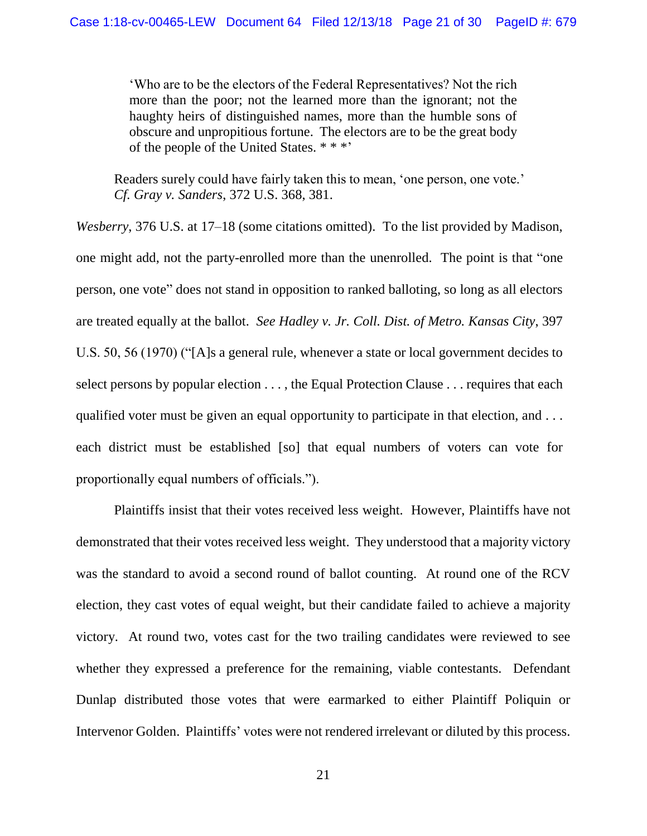'Who are to be the electors of the Federal Representatives? Not the rich more than the poor; not the learned more than the ignorant; not the haughty heirs of distinguished names, more than the humble sons of obscure and unpropitious fortune. The electors are to be the great body of the people of the United States. \* \* \*'

Readers surely could have fairly taken this to mean, 'one person, one vote.' *Cf. Gray v. Sanders*, 372 U.S. 368, 381.

*Wesberry*, 376 U.S. at 17–18 (some citations omitted). To the list provided by Madison, one might add, not the party-enrolled more than the unenrolled. The point is that "one person, one vote" does not stand in opposition to ranked balloting, so long as all electors are treated equally at the ballot. *See Hadley v. Jr. Coll. Dist. of Metro. Kansas City*, 397 U.S. 50, 56 (1970) ("[A]s a general rule, whenever a state or local government decides to select persons by popular election . . . , the Equal Protection Clause . . . requires that each qualified voter must be given an equal opportunity to participate in that election, and ... each district must be established [so] that equal numbers of voters can vote for proportionally equal numbers of officials.").

Plaintiffs insist that their votes received less weight. However, Plaintiffs have not demonstrated that their votes received less weight. They understood that a majority victory was the standard to avoid a second round of ballot counting. At round one of the RCV election, they cast votes of equal weight, but their candidate failed to achieve a majority victory. At round two, votes cast for the two trailing candidates were reviewed to see whether they expressed a preference for the remaining, viable contestants. Defendant Dunlap distributed those votes that were earmarked to either Plaintiff Poliquin or Intervenor Golden. Plaintiffs' votes were not rendered irrelevant or diluted by this process.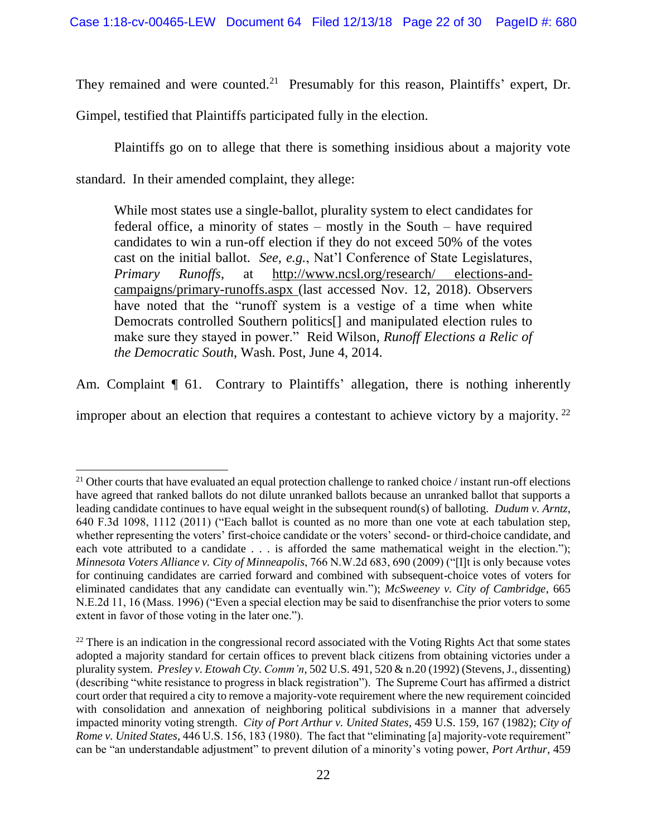They remained and were counted.<sup>21</sup> Presumably for this reason, Plaintiffs' expert, Dr.

Gimpel, testified that Plaintiffs participated fully in the election.

Plaintiffs go on to allege that there is something insidious about a majority vote

standard. In their amended complaint, they allege:

l

While most states use a single-ballot, plurality system to elect candidates for federal office, a minority of states – mostly in the South – have required candidates to win a run-off election if they do not exceed 50% of the votes cast on the initial ballot. *See, e.g.*, Nat'l Conference of State Legislatures, *Primary Runoffs*, at http://www.ncsl.org/research/ elections-andcampaigns/primary-runoffs.aspx (last accessed Nov. 12, 2018). Observers have noted that the "runoff system is a vestige of a time when white Democrats controlled Southern politics[] and manipulated election rules to make sure they stayed in power." Reid Wilson, *Runoff Elections a Relic of the Democratic South*, Wash. Post, June 4, 2014.

Am. Complaint  $\P$  61. Contrary to Plaintiffs' allegation, there is nothing inherently

improper about an election that requires a contestant to achieve victory by a majority.  $22$ 

<sup>&</sup>lt;sup>21</sup> Other courts that have evaluated an equal protection challenge to ranked choice / instant run-off elections have agreed that ranked ballots do not dilute unranked ballots because an unranked ballot that supports a leading candidate continues to have equal weight in the subsequent round(s) of balloting. *Dudum v. Arntz*, 640 F.3d 1098, 1112 (2011) ("Each ballot is counted as no more than one vote at each tabulation step, whether representing the voters' first-choice candidate or the voters' second- or third-choice candidate, and each vote attributed to a candidate  $\dots$  is afforded the same mathematical weight in the election."); *Minnesota Voters Alliance v. City of Minneapolis*, 766 N.W.2d 683, 690 (2009) ("[I]t is only because votes for continuing candidates are carried forward and combined with subsequent-choice votes of voters for eliminated candidates that any candidate can eventually win."); *McSweeney v. City of Cambridge*, 665 N.E.2d 11, 16 (Mass. 1996) ("Even a special election may be said to disenfranchise the prior voters to some extent in favor of those voting in the later one.").

 $22$  There is an indication in the congressional record associated with the Voting Rights Act that some states adopted a majority standard for certain offices to prevent black citizens from obtaining victories under a plurality system. *Presley v. Etowah Cty. Comm'n*, 502 U.S. 491, 520 & n.20 (1992) (Stevens, J., dissenting) (describing "white resistance to progress in black registration"). The Supreme Court has affirmed a district court order that required a city to remove a majority-vote requirement where the new requirement coincided with consolidation and annexation of neighboring political subdivisions in a manner that adversely impacted minority voting strength. *City of Port Arthur v. United States*, 459 U.S. 159, 167 (1982); *City of Rome v. United States*, 446 U.S. 156, 183 (1980). The fact that "eliminating [a] majority-vote requirement" can be "an understandable adjustment" to prevent dilution of a minority's voting power, *Port Arthur*, 459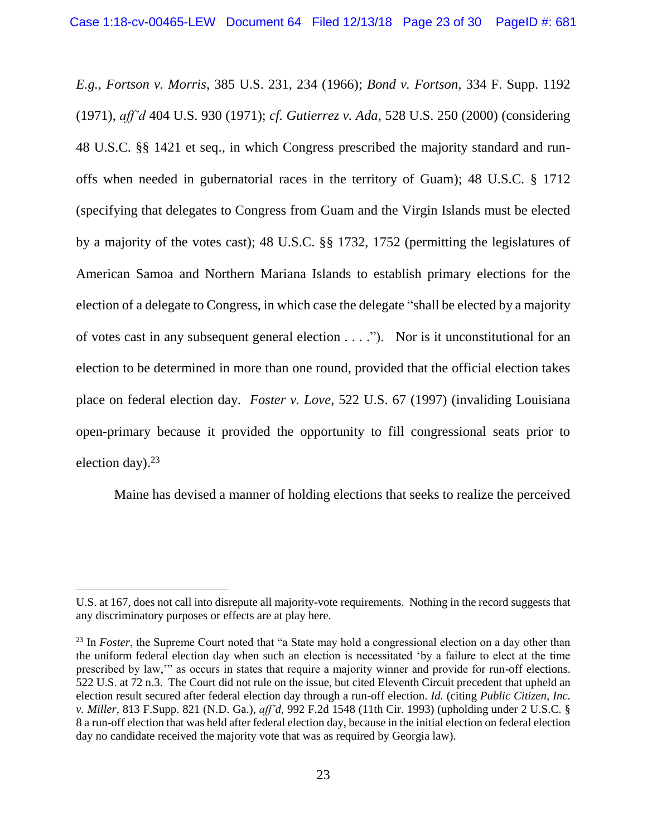*E.g.*, *Fortson v. Morris*, 385 U.S. 231, 234 (1966); *Bond v. Fortson*, 334 F. Supp. 1192 (1971), *aff'd* 404 U.S. 930 (1971); *cf. Gutierrez v. Ada*, 528 U.S. 250 (2000) (considering 48 U.S.C. §§ 1421 et seq., in which Congress prescribed the majority standard and runoffs when needed in gubernatorial races in the territory of Guam); 48 U.S.C. § 1712 (specifying that delegates to Congress from Guam and the Virgin Islands must be elected by a majority of the votes cast); 48 U.S.C. §§ 1732, 1752 (permitting the legislatures of American Samoa and Northern Mariana Islands to establish primary elections for the election of a delegate to Congress, in which case the delegate "shall be elected by a majority of votes cast in any subsequent general election . . . ."). Nor is it unconstitutional for an election to be determined in more than one round, provided that the official election takes place on federal election day. *Foster v. Love*, 522 U.S. 67 (1997) (invaliding Louisiana open-primary because it provided the opportunity to fill congressional seats prior to election day). $23$ 

Maine has devised a manner of holding elections that seeks to realize the perceived

 $\overline{a}$ 

U.S. at 167, does not call into disrepute all majority-vote requirements. Nothing in the record suggests that any discriminatory purposes or effects are at play here.

<sup>&</sup>lt;sup>23</sup> In *Foster*, the Supreme Court noted that "a State may hold a congressional election on a day other than the uniform federal election day when such an election is necessitated 'by a failure to elect at the time prescribed by law,'" as occurs in states that require a majority winner and provide for run-off elections. 522 U.S. at 72 n.3. The Court did not rule on the issue, but cited Eleventh Circuit precedent that upheld an election result secured after federal election day through a run-off election. *Id.* (citing *Public Citizen*, *Inc. v. Miller*, 813 F.Supp. 821 (N.D. Ga.), *aff'd*, 992 F.2d 1548 (11th Cir. 1993) (upholding under 2 U.S.C. § 8 a run-off election that was held after federal election day, because in the initial election on federal election day no candidate received the majority vote that was as required by Georgia law).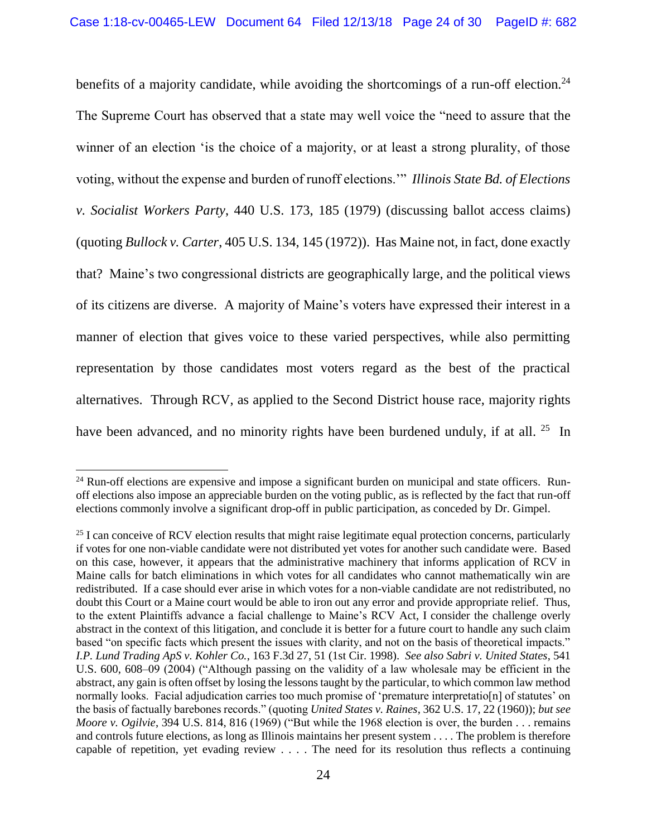benefits of a majority candidate, while avoiding the shortcomings of a run-off election.<sup>24</sup> The Supreme Court has observed that a state may well voice the "need to assure that the winner of an election 'is the choice of a majority, or at least a strong plurality, of those voting, without the expense and burden of runoff elections.'" *Illinois State Bd. of Elections v. Socialist Workers Party*, 440 U.S. 173, 185 (1979) (discussing ballot access claims) (quoting *Bullock v. Carter*, 405 U.S. 134, 145 (1972)). Has Maine not, in fact, done exactly that? Maine's two congressional districts are geographically large, and the political views of its citizens are diverse. A majority of Maine's voters have expressed their interest in a manner of election that gives voice to these varied perspectives, while also permitting representation by those candidates most voters regard as the best of the practical alternatives. Through RCV, as applied to the Second District house race, majority rights have been advanced, and no minority rights have been burdened unduly, if at all. <sup>25</sup> In

 $24$  Run-off elections are expensive and impose a significant burden on municipal and state officers. Runoff elections also impose an appreciable burden on the voting public, as is reflected by the fact that run-off elections commonly involve a significant drop-off in public participation, as conceded by Dr. Gimpel.

<sup>&</sup>lt;sup>25</sup> I can conceive of RCV election results that might raise legitimate equal protection concerns, particularly if votes for one non-viable candidate were not distributed yet votes for another such candidate were. Based on this case, however, it appears that the administrative machinery that informs application of RCV in Maine calls for batch eliminations in which votes for all candidates who cannot mathematically win are redistributed. If a case should ever arise in which votes for a non-viable candidate are not redistributed, no doubt this Court or a Maine court would be able to iron out any error and provide appropriate relief. Thus, to the extent Plaintiffs advance a facial challenge to Maine's RCV Act, I consider the challenge overly abstract in the context of this litigation, and conclude it is better for a future court to handle any such claim based "on specific facts which present the issues with clarity, and not on the basis of theoretical impacts." *I.P. Lund Trading ApS v. Kohler Co.*, 163 F.3d 27, 51 (1st Cir. 1998). *See also Sabri v. United States*, 541 U.S. 600, 608–09 (2004) ("Although passing on the validity of a law wholesale may be efficient in the abstract, any gain is often offset by losing the lessons taught by the particular, to which common law method normally looks. Facial adjudication carries too much promise of 'premature interpretatio[n] of statutes' on the basis of factually barebones records." (quoting *United States v. Raines*, 362 U.S. 17, 22 (1960)); *but see Moore v. Ogilvie*, 394 U.S. 814, 816 (1969) ("But while the 1968 election is over, the burden . . . remains and controls future elections, as long as Illinois maintains her present system . . . . The problem is therefore capable of repetition, yet evading review . . . . The need for its resolution thus reflects a continuing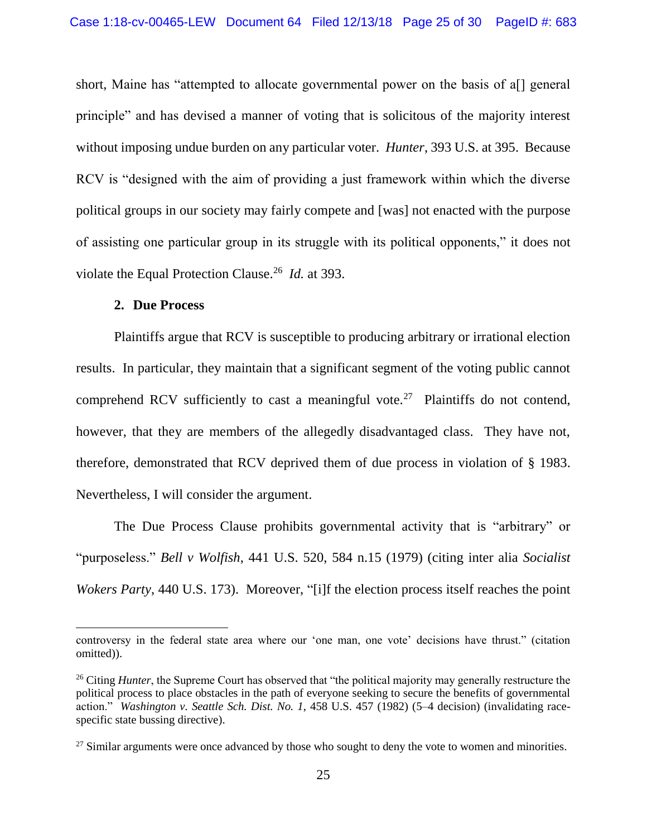short, Maine has "attempted to allocate governmental power on the basis of a<sup>[]</sup> general principle" and has devised a manner of voting that is solicitous of the majority interest without imposing undue burden on any particular voter. *Hunter*, 393 U.S. at 395. Because RCV is "designed with the aim of providing a just framework within which the diverse political groups in our society may fairly compete and [was] not enacted with the purpose of assisting one particular group in its struggle with its political opponents," it does not violate the Equal Protection Clause.<sup>26</sup> *Id.* at 393.

#### **2. Due Process**

 $\overline{a}$ 

Plaintiffs argue that RCV is susceptible to producing arbitrary or irrational election results. In particular, they maintain that a significant segment of the voting public cannot comprehend RCV sufficiently to cast a meaningful vote.<sup>27</sup> Plaintiffs do not contend, however, that they are members of the allegedly disadvantaged class. They have not, therefore, demonstrated that RCV deprived them of due process in violation of § 1983. Nevertheless, I will consider the argument.

The Due Process Clause prohibits governmental activity that is "arbitrary" or "purposeless." *Bell v Wolfish*, 441 U.S. 520, 584 n.15 (1979) (citing inter alia *Socialist Wokers Party*, 440 U.S. 173). Moreover, "[i]f the election process itself reaches the point

controversy in the federal state area where our 'one man, one vote' decisions have thrust." (citation omitted)).

<sup>&</sup>lt;sup>26</sup> Citing *Hunter*, the Supreme Court has observed that "the political majority may generally restructure the political process to place obstacles in the path of everyone seeking to secure the benefits of governmental action." *Washington v. Seattle Sch. Dist. No. 1*, 458 U.S. 457 (1982) (5–4 decision) (invalidating racespecific state bussing directive).

 $27$  Similar arguments were once advanced by those who sought to deny the vote to women and minorities.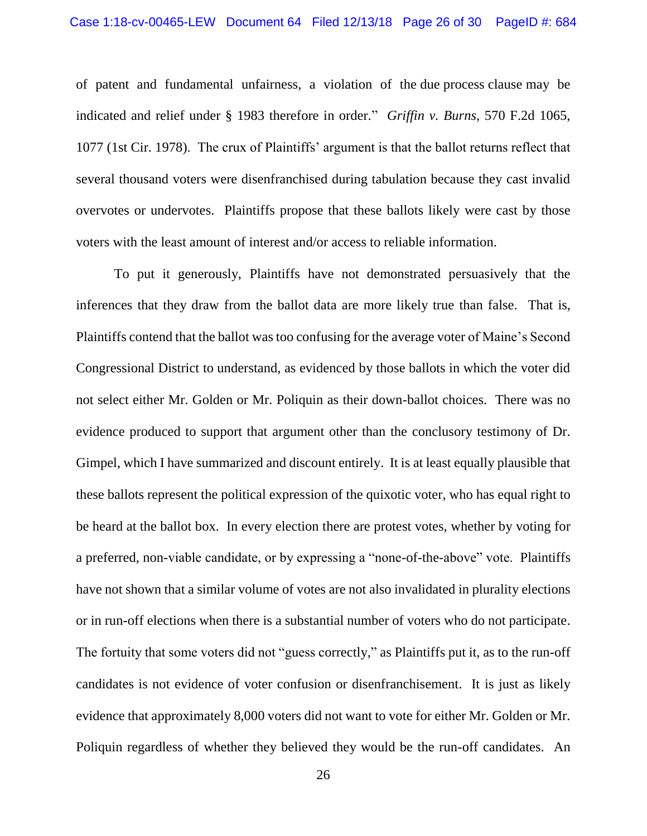of patent and fundamental unfairness, a violation of the due process clause may be indicated and relief under § 1983 therefore in order." *Griffin v. Burns*, 570 F.2d 1065, 1077 (1st Cir. 1978). The crux of Plaintiffs' argument is that the ballot returns reflect that several thousand voters were disenfranchised during tabulation because they cast invalid overvotes or undervotes. Plaintiffs propose that these ballots likely were cast by those voters with the least amount of interest and/or access to reliable information.

To put it generously, Plaintiffs have not demonstrated persuasively that the inferences that they draw from the ballot data are more likely true than false. That is, Plaintiffs contend that the ballot was too confusing for the average voter of Maine's Second Congressional District to understand, as evidenced by those ballots in which the voter did not select either Mr. Golden or Mr. Poliquin as their down-ballot choices. There was no evidence produced to support that argument other than the conclusory testimony of Dr. Gimpel, which I have summarized and discount entirely. It is at least equally plausible that these ballots represent the political expression of the quixotic voter, who has equal right to be heard at the ballot box. In every election there are protest votes, whether by voting for a preferred, non-viable candidate, or by expressing a "none-of-the-above" vote. Plaintiffs have not shown that a similar volume of votes are not also invalidated in plurality elections or in run-off elections when there is a substantial number of voters who do not participate. The fortuity that some voters did not "guess correctly," as Plaintiffs put it, as to the run-off candidates is not evidence of voter confusion or disenfranchisement. It is just as likely evidence that approximately 8,000 voters did not want to vote for either Mr. Golden or Mr. Poliquin regardless of whether they believed they would be the run-off candidates. An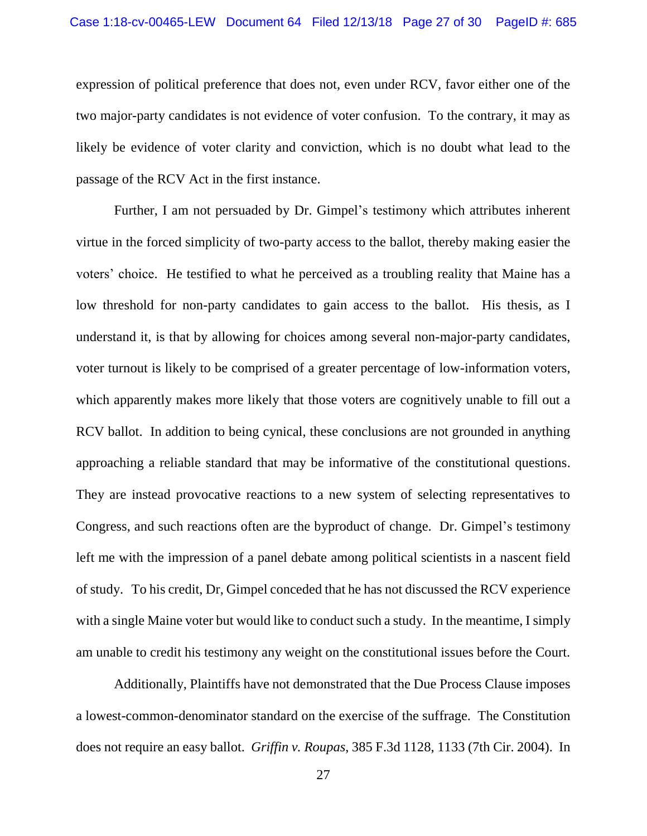expression of political preference that does not, even under RCV, favor either one of the two major-party candidates is not evidence of voter confusion. To the contrary, it may as likely be evidence of voter clarity and conviction, which is no doubt what lead to the passage of the RCV Act in the first instance.

Further, I am not persuaded by Dr. Gimpel's testimony which attributes inherent virtue in the forced simplicity of two-party access to the ballot, thereby making easier the voters' choice. He testified to what he perceived as a troubling reality that Maine has a low threshold for non-party candidates to gain access to the ballot. His thesis, as I understand it, is that by allowing for choices among several non-major-party candidates, voter turnout is likely to be comprised of a greater percentage of low-information voters, which apparently makes more likely that those voters are cognitively unable to fill out a RCV ballot. In addition to being cynical, these conclusions are not grounded in anything approaching a reliable standard that may be informative of the constitutional questions. They are instead provocative reactions to a new system of selecting representatives to Congress, and such reactions often are the byproduct of change. Dr. Gimpel's testimony left me with the impression of a panel debate among political scientists in a nascent field of study. To his credit, Dr, Gimpel conceded that he has not discussed the RCV experience with a single Maine voter but would like to conduct such a study. In the meantime, I simply am unable to credit his testimony any weight on the constitutional issues before the Court.

Additionally, Plaintiffs have not demonstrated that the Due Process Clause imposes a lowest-common-denominator standard on the exercise of the suffrage. The Constitution does not require an easy ballot. *Griffin v. Roupas*, 385 F.3d 1128, 1133 (7th Cir. 2004). In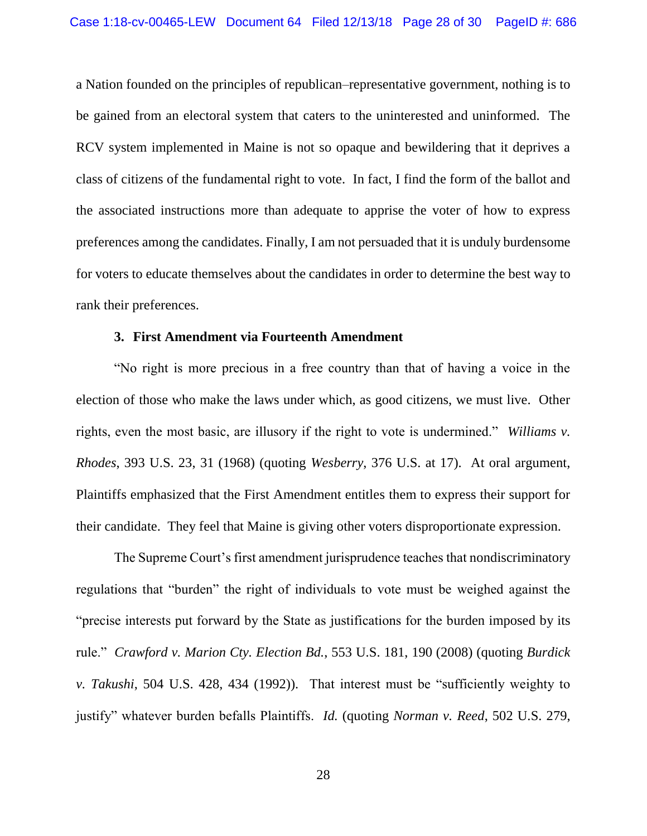a Nation founded on the principles of republican–representative government, nothing is to be gained from an electoral system that caters to the uninterested and uninformed. The RCV system implemented in Maine is not so opaque and bewildering that it deprives a class of citizens of the fundamental right to vote. In fact, I find the form of the ballot and the associated instructions more than adequate to apprise the voter of how to express preferences among the candidates. Finally, I am not persuaded that it is unduly burdensome for voters to educate themselves about the candidates in order to determine the best way to rank their preferences.

#### **3. First Amendment via Fourteenth Amendment**

"No right is more precious in a free country than that of having a voice in the election of those who make the laws under which, as good citizens, we must live. Other rights, even the most basic, are illusory if the right to vote is undermined." *Williams v. Rhodes*, 393 U.S. 23, 31 (1968) (quoting *Wesberry*, 376 U.S. at 17). At oral argument, Plaintiffs emphasized that the First Amendment entitles them to express their support for their candidate. They feel that Maine is giving other voters disproportionate expression.

The Supreme Court's first amendment jurisprudence teaches that nondiscriminatory regulations that "burden" the right of individuals to vote must be weighed against the "precise interests put forward by the State as justifications for the burden imposed by its rule." *Crawford v. Marion Cty. Election Bd.*, 553 U.S. 181, 190 (2008) (quoting *Burdick v. Takushi*, 504 U.S. 428, 434 (1992)). That interest must be "sufficiently weighty to justify" whatever burden befalls Plaintiffs. *Id.* (quoting *Norman v. Reed*, 502 U.S. 279,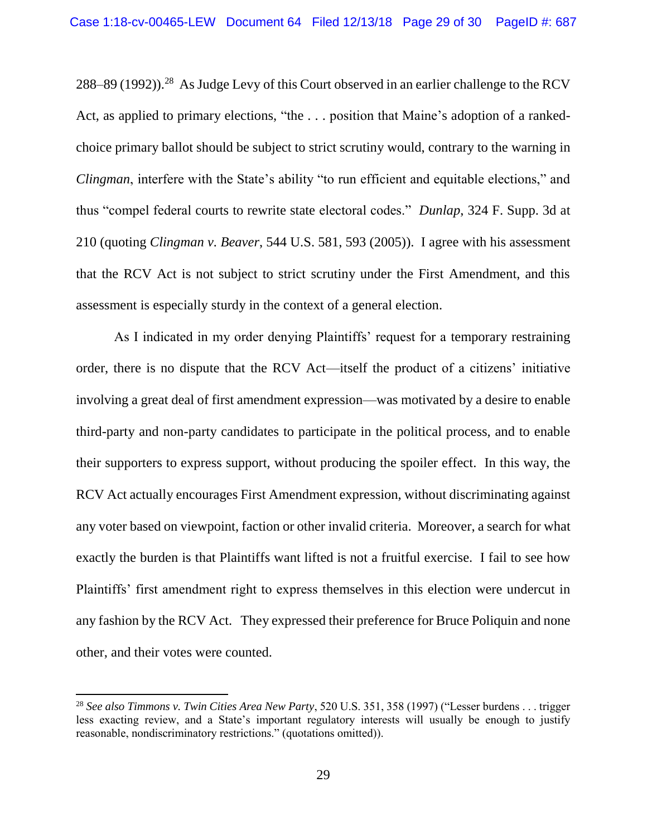288–89 (1992)).<sup>28</sup> As Judge Levy of this Court observed in an earlier challenge to the RCV Act, as applied to primary elections, "the . . . position that Maine's adoption of a rankedchoice primary ballot should be subject to strict scrutiny would, contrary to the warning in *Clingman*, interfere with the State's ability "to run efficient and equitable elections," and thus "compel federal courts to rewrite state electoral codes." *Dunlap*, 324 F. Supp. 3d at 210 (quoting *Clingman v. Beaver*, 544 U.S. 581, 593 (2005)). I agree with his assessment that the RCV Act is not subject to strict scrutiny under the First Amendment, and this assessment is especially sturdy in the context of a general election.

As I indicated in my order denying Plaintiffs' request for a temporary restraining order, there is no dispute that the RCV Act—itself the product of a citizens' initiative involving a great deal of first amendment expression—was motivated by a desire to enable third-party and non-party candidates to participate in the political process, and to enable their supporters to express support, without producing the spoiler effect. In this way, the RCV Act actually encourages First Amendment expression, without discriminating against any voter based on viewpoint, faction or other invalid criteria. Moreover, a search for what exactly the burden is that Plaintiffs want lifted is not a fruitful exercise. I fail to see how Plaintiffs' first amendment right to express themselves in this election were undercut in any fashion by the RCV Act. They expressed their preference for Bruce Poliquin and none other, and their votes were counted.

<sup>28</sup> *See also Timmons v. Twin Cities Area New Party*, 520 U.S. 351, 358 (1997) ("Lesser burdens . . . trigger less exacting review, and a State's important regulatory interests will usually be enough to justify reasonable, nondiscriminatory restrictions." (quotations omitted)).